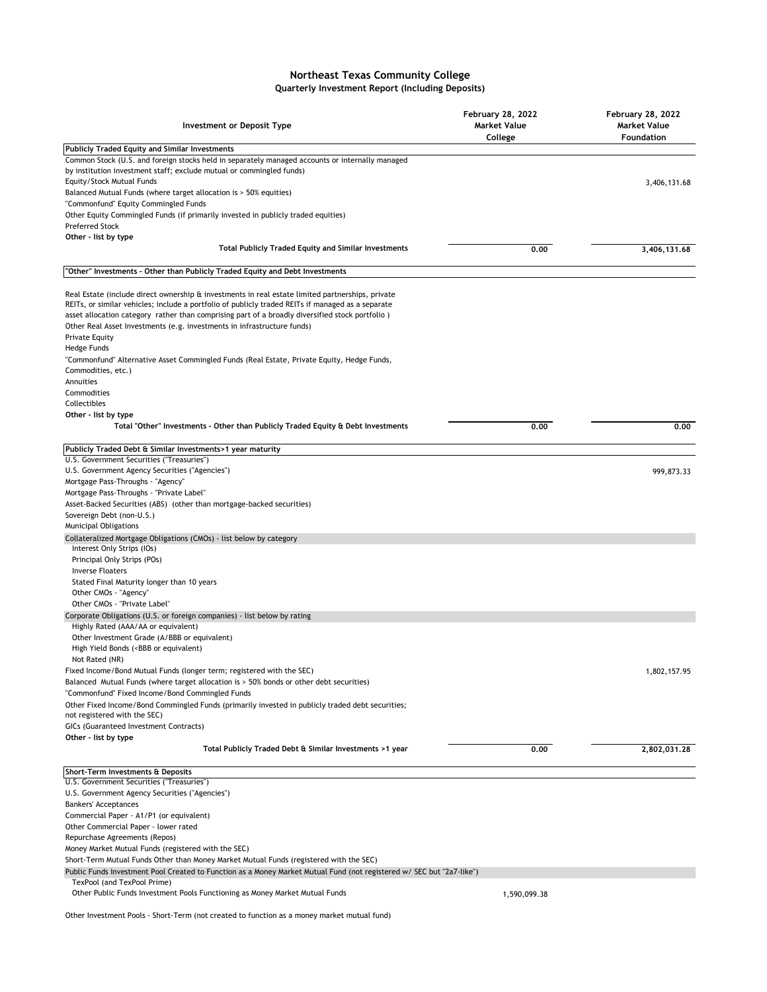## **Northeast Texas Community College Quarterly Investment Report (Including Deposits)**

| <b>Investment or Deposit Type</b>                                                                                                                                                                                                                                                                                                                                                                     | <b>February 28, 2022</b><br><b>Market Value</b><br>College | <b>February 28, 2022</b><br><b>Market Value</b><br><b>Foundation</b> |
|-------------------------------------------------------------------------------------------------------------------------------------------------------------------------------------------------------------------------------------------------------------------------------------------------------------------------------------------------------------------------------------------------------|------------------------------------------------------------|----------------------------------------------------------------------|
| <b>Publicly Traded Equity and Similar Investments</b>                                                                                                                                                                                                                                                                                                                                                 |                                                            |                                                                      |
| Common Stock (U.S. and foreign stocks held in separately managed accounts or internally managed<br>by institution investment staff; exclude mutual or commingled funds)                                                                                                                                                                                                                               |                                                            |                                                                      |
| Equity/Stock Mutual Funds                                                                                                                                                                                                                                                                                                                                                                             |                                                            | 3,406,131.68                                                         |
| Balanced Mutual Funds (where target allocation is > 50% equities)                                                                                                                                                                                                                                                                                                                                     |                                                            |                                                                      |
| "Commonfund" Equity Commingled Funds                                                                                                                                                                                                                                                                                                                                                                  |                                                            |                                                                      |
| Other Equity Commingled Funds (if primarily invested in publicly traded equities)                                                                                                                                                                                                                                                                                                                     |                                                            |                                                                      |
| <b>Preferred Stock</b><br>Other - list by type                                                                                                                                                                                                                                                                                                                                                        |                                                            |                                                                      |
| <b>Total Publicly Traded Equity and Similar Investments</b>                                                                                                                                                                                                                                                                                                                                           | 0.00                                                       | 3,406,131.68                                                         |
| "Other" Investments - Other than Publicly Traded Equity and Debt Investments                                                                                                                                                                                                                                                                                                                          |                                                            |                                                                      |
| Real Estate (include direct ownership & investments in real estate limited partnerships, private<br>REITs, or similar vehicles; include a portfolio of publicly traded REITs if managed as a separate<br>asset allocation category rather than comprising part of a broadly diversified stock portfolio)<br>Other Real Asset Investments (e.g. investments in infrastructure funds)<br>Private Equity |                                                            |                                                                      |
| Hedge Funds                                                                                                                                                                                                                                                                                                                                                                                           |                                                            |                                                                      |
| "Commonfund" Alternative Asset Commingled Funds (Real Estate, Private Equity, Hedge Funds,                                                                                                                                                                                                                                                                                                            |                                                            |                                                                      |
| Commodities, etc.)                                                                                                                                                                                                                                                                                                                                                                                    |                                                            |                                                                      |
| Annuities                                                                                                                                                                                                                                                                                                                                                                                             |                                                            |                                                                      |
| Commodities                                                                                                                                                                                                                                                                                                                                                                                           |                                                            |                                                                      |
| Collectibles                                                                                                                                                                                                                                                                                                                                                                                          |                                                            |                                                                      |
| Other - list by type                                                                                                                                                                                                                                                                                                                                                                                  |                                                            |                                                                      |
| Total "Other" Investments - Other than Publicly Traded Equity & Debt Investments                                                                                                                                                                                                                                                                                                                      | 0.00                                                       | 0.00                                                                 |
| Publicly Traded Debt & Similar Investments>1 year maturity                                                                                                                                                                                                                                                                                                                                            |                                                            |                                                                      |
| U.S. Government Securities ("Treasuries")                                                                                                                                                                                                                                                                                                                                                             |                                                            |                                                                      |
| U.S. Government Agency Securities ("Agencies")                                                                                                                                                                                                                                                                                                                                                        |                                                            | 999,873.33                                                           |
| Mortgage Pass-Throughs - "Agency"                                                                                                                                                                                                                                                                                                                                                                     |                                                            |                                                                      |
| Mortgage Pass-Throughs - "Private Label"                                                                                                                                                                                                                                                                                                                                                              |                                                            |                                                                      |
| Asset-Backed Securities (ABS) (other than mortgage-backed securities)                                                                                                                                                                                                                                                                                                                                 |                                                            |                                                                      |
| Sovereign Debt (non-U.S.)                                                                                                                                                                                                                                                                                                                                                                             |                                                            |                                                                      |
| Municipal Obligations                                                                                                                                                                                                                                                                                                                                                                                 |                                                            |                                                                      |
| Collateralized Mortgage Obligations (CMOs) - list below by category<br>Interest Only Strips (IOs)<br>Principal Only Strips (POs)                                                                                                                                                                                                                                                                      |                                                            |                                                                      |
| <b>Inverse Floaters</b>                                                                                                                                                                                                                                                                                                                                                                               |                                                            |                                                                      |
| Stated Final Maturity longer than 10 years                                                                                                                                                                                                                                                                                                                                                            |                                                            |                                                                      |
| Other CMOs - "Agency"                                                                                                                                                                                                                                                                                                                                                                                 |                                                            |                                                                      |
| Other CMOs - "Private Label"                                                                                                                                                                                                                                                                                                                                                                          |                                                            |                                                                      |
| Corporate Obligations (U.S. or foreign companies) - list below by rating<br>Highly Rated (AAA/AA or equivalent)                                                                                                                                                                                                                                                                                       |                                                            |                                                                      |
| Other Investment Grade (A/BBB or equivalent)                                                                                                                                                                                                                                                                                                                                                          |                                                            |                                                                      |
| High Yield Bonds ( <bbb equivalent)<="" or="" td=""><td></td><td></td></bbb>                                                                                                                                                                                                                                                                                                                          |                                                            |                                                                      |
| Not Rated (NR)                                                                                                                                                                                                                                                                                                                                                                                        |                                                            |                                                                      |
| Fixed Income/Bond Mutual Funds (longer term; registered with the SEC)                                                                                                                                                                                                                                                                                                                                 |                                                            | 1,802,157.95                                                         |
| Balanced Mutual Funds (where target allocation is > 50% bonds or other debt securities)                                                                                                                                                                                                                                                                                                               |                                                            |                                                                      |
| "Commonfund" Fixed Income/Bond Commingled Funds                                                                                                                                                                                                                                                                                                                                                       |                                                            |                                                                      |
| Other Fixed Income/Bond Commingled Funds (primarily invested in publicly traded debt securities;                                                                                                                                                                                                                                                                                                      |                                                            |                                                                      |
| not registered with the SEC)<br>GICs (Guaranteed Investment Contracts)                                                                                                                                                                                                                                                                                                                                |                                                            |                                                                      |
|                                                                                                                                                                                                                                                                                                                                                                                                       |                                                            |                                                                      |
| Other - list by type<br>Total Publicly Traded Debt & Similar Investments >1 year                                                                                                                                                                                                                                                                                                                      | 0.00                                                       | 2,802,031.28                                                         |
|                                                                                                                                                                                                                                                                                                                                                                                                       |                                                            |                                                                      |
| Short-Term Investments & Deposits<br>U.S. Government Securities ("Treasuries")                                                                                                                                                                                                                                                                                                                        |                                                            |                                                                      |
| U.S. Government Agency Securities ("Agencies")                                                                                                                                                                                                                                                                                                                                                        |                                                            |                                                                      |
| <b>Bankers' Acceptances</b>                                                                                                                                                                                                                                                                                                                                                                           |                                                            |                                                                      |
| Commercial Paper - A1/P1 (or equivalent)                                                                                                                                                                                                                                                                                                                                                              |                                                            |                                                                      |
| Other Commercial Paper - lower rated                                                                                                                                                                                                                                                                                                                                                                  |                                                            |                                                                      |
| Repurchase Agreements (Repos)                                                                                                                                                                                                                                                                                                                                                                         |                                                            |                                                                      |
| Money Market Mutual Funds (registered with the SEC)                                                                                                                                                                                                                                                                                                                                                   |                                                            |                                                                      |
| Short-Term Mutual Funds Other than Money Market Mutual Funds (registered with the SEC)                                                                                                                                                                                                                                                                                                                |                                                            |                                                                      |
| Public Funds Investment Pool Created to Function as a Money Market Mutual Fund (not registered w/ SEC but "2a7-like")                                                                                                                                                                                                                                                                                 |                                                            |                                                                      |
| TexPool (and TexPool Prime)                                                                                                                                                                                                                                                                                                                                                                           |                                                            |                                                                      |
| Other Public Funds Investment Pools Functioning as Money Market Mutual Funds                                                                                                                                                                                                                                                                                                                          | 1,590,099.38                                               |                                                                      |

Other Investment Pools - Short-Term (not created to function as a money market mutual fund)